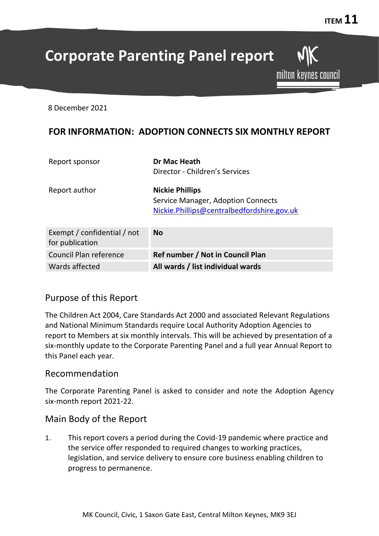milton keynes council

# **Corporate Parenting Panel report**

8 December 2021

## **FOR INFORMATION: ADOPTION CONNECTS SIX MONTHLY REPORT**

| Report sponsor                                 | Dr Mac Heath<br>Director - Children's Services |
|------------------------------------------------|------------------------------------------------|
|                                                |                                                |
| Report author                                  | <b>Nickie Phillips</b>                         |
|                                                | Service Manager, Adoption Connects             |
|                                                | Nickie.Phillips@centralbedfordshire.gov.uk     |
|                                                |                                                |
| Exempt / confidential / not<br>for publication | <b>No</b>                                      |
|                                                |                                                |
| Council Plan reference                         | Ref number / Not in Council Plan               |
| Wards affected                                 | All wards / list individual wards              |

## Purpose of this Report

The Children Act 2004, Care Standards Act 2000 and associated Relevant Regulations and National Minimum Standards require Local Authority Adoption Agencies to report to Members at six monthly intervals. This will be achieved by presentation of a six-monthly update to the Corporate Parenting Panel and a full year Annual Report to this Panel each year.

### Recommendation

The Corporate Parenting Panel is asked to consider and note the Adoption Agency six-month report 2021-22.

## Main Body of the Report

1. This report covers a period during the Covid-19 pandemic where practice and the service offer responded to required changes to working practices, legislation, and service delivery to ensure core business enabling children to progress to permanence.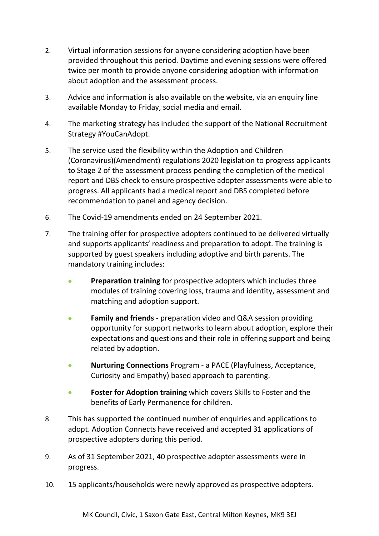- 2. Virtual information sessions for anyone considering adoption have been provided throughout this period. Daytime and evening sessions were offered twice per month to provide anyone considering adoption with information about adoption and the assessment process.
- 3. Advice and information is also available on the website, via an enquiry line available Monday to Friday, social media and email.
- 4. The marketing strategy has included the support of the National Recruitment Strategy #YouCanAdopt.
- 5. The service used the flexibility within the Adoption and Children (Coronavirus)(Amendment) regulations 2020 legislation to progress applicants to Stage 2 of the assessment process pending the completion of the medical report and DBS check to ensure prospective adopter assessments were able to progress. All applicants had a medical report and DBS completed before recommendation to panel and agency decision.
- 6. The Covid-19 amendments ended on 24 September 2021.
- 7. The training offer for prospective adopters continued to be delivered virtually and supports applicants' readiness and preparation to adopt. The training is supported by guest speakers including adoptive and birth parents. The mandatory training includes:
	- **Preparation training** for prospective adopters which includes three modules of training covering loss, trauma and identity, assessment and matching and adoption support.
	- **Family and friends** preparation video and Q&A session providing opportunity for support networks to learn about adoption, explore their expectations and questions and their role in offering support and being related by adoption.
	- **Nurturing Connections** Program a PACE (Playfulness, Acceptance, Curiosity and Empathy) based approach to parenting.
	- **Foster for Adoption training** which covers Skills to Foster and the benefits of Early Permanence for children.
- 8. This has supported the continued number of enquiries and applications to adopt. Adoption Connects have received and accepted 31 applications of prospective adopters during this period.
- 9. As of 31 September 2021, 40 prospective adopter assessments were in progress.
- 10. 15 applicants/households were newly approved as prospective adopters.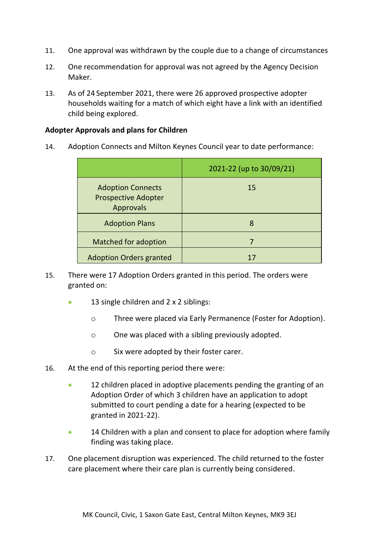- 11. One approval was withdrawn by the couple due to a change of circumstances
- 12. One recommendation for approval was not agreed by the Agency Decision Maker.
- 13. As of 24 September 2021, there were 26 approved prospective adopter households waiting for a match of which eight have a link with an identified child being explored.

#### **Adopter Approvals and plans for Children**

14. Adoption Connects and Milton Keynes Council year to date performance:

|                                                                     | 2021-22 (up to 30/09/21) |
|---------------------------------------------------------------------|--------------------------|
| <b>Adoption Connects</b><br><b>Prospective Adopter</b><br>Approvals | 15                       |
| <b>Adoption Plans</b>                                               | 8                        |
| <b>Matched for adoption</b>                                         |                          |
| <b>Adoption Orders granted</b>                                      |                          |

- 15. There were 17 Adoption Orders granted in this period. The orders were granted on:
	- 13 single children and  $2 \times 2$  siblings:
		- o Three were placed via Early Permanence (Foster for Adoption).
		- o One was placed with a sibling previously adopted.
		- o Six were adopted by their foster carer.
- 16. At the end of this reporting period there were:
	- 12 children placed in adoptive placements pending the granting of an Adoption Order of which 3 children have an application to adopt submitted to court pending a date for a hearing (expected to be granted in 2021-22).
	- 14 Children with a plan and consent to place for adoption where family finding was taking place.
- 17. One placement disruption was experienced. The child returned to the foster care placement where their care plan is currently being considered.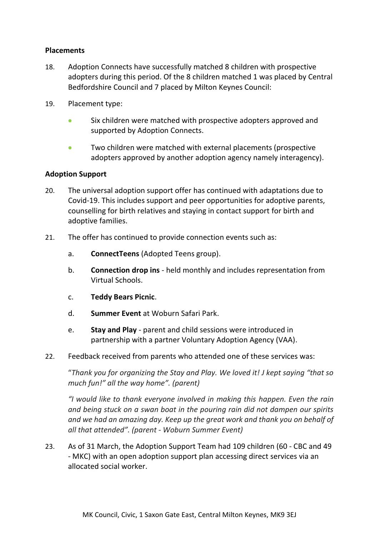#### **Placements**

- 18. Adoption Connects have successfully matched 8 children with prospective adopters during this period. Of the 8 children matched 1 was placed by Central Bedfordshire Council and 7 placed by Milton Keynes Council:
- 19. Placement type:
	- Six children were matched with prospective adopters approved and supported by Adoption Connects.
	- Two children were matched with external placements (prospective adopters approved by another adoption agency namely interagency).

#### **Adoption Support**

- 20. The universal adoption support offer has continued with adaptations due to Covid-19. This includes support and peer opportunities for adoptive parents, counselling for birth relatives and staying in contact support for birth and adoptive families.
- 21. The offer has continued to provide connection events such as:
	- a. **ConnectTeens** (Adopted Teens group).
	- b. **Connection drop ins** held monthly and includes representation from Virtual Schools.
	- c. **Teddy Bears Picnic**.
	- d. **Summer Event** at Woburn Safari Park.
	- e. **Stay and Play**  parent and child sessions were introduced in partnership with a partner Voluntary Adoption Agency (VAA).
- 22. Feedback received from parents who attended one of these services was:

"*Thank you for organizing the Stay and Play. We loved it! J kept saying "that so much fun!" all the way home". (parent)*

*"I would like to thank everyone involved in making this happen. Even the rain and being stuck on a swan boat in the pouring rain did not dampen our spirits and we had an amazing day. Keep up the great work and thank you on behalf of all that attended". (parent - Woburn Summer Event)* 

23. As of 31 March, the Adoption Support Team had 109 children (60 - CBC and 49 - MKC) with an open adoption support plan accessing direct services via an allocated social worker.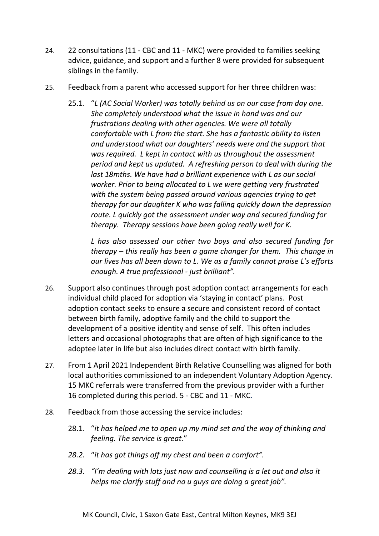- 24. 22 consultations (11 CBC and 11 MKC) were provided to families seeking advice, guidance, and support and a further 8 were provided for subsequent siblings in the family.
- 25. Feedback from a parent who accessed support for her three children was:
	- 25.1. "*L (AC Social Worker) was totally behind us on our case from day one. She completely understood what the issue in hand was and our frustrations dealing with other agencies. We were all totally comfortable with L from the start. She has a fantastic ability to listen and understood what our daughters' needs were and the support that was required. L kept in contact with us throughout the assessment period and kept us updated. A refreshing person to deal with during the last 18mths. We have had a brilliant experience with L as our social worker. Prior to being allocated to L we were getting very frustrated with the system being passed around various agencies trying to get therapy for our daughter K who was falling quickly down the depression route. L quickly got the assessment under way and secured funding for therapy. Therapy sessions have been going really well for K.*

*L has also assessed our other two boys and also secured funding for therapy – this really has been a game changer for them. This change in our lives has all been down to L. We as a family cannot praise L's efforts enough. A true professional - just brilliant".* 

- 26. Support also continues through post adoption contact arrangements for each individual child placed for adoption via 'staying in contact' plans. Post adoption contact seeks to ensure a secure and consistent record of contact between birth family, adoptive family and the child to support the development of a positive identity and sense of self. This often includes letters and occasional photographs that are often of high significance to the adoptee later in life but also includes direct contact with birth family.
- 27. From 1 April 2021 Independent Birth Relative Counselling was aligned for both local authorities commissioned to an independent Voluntary Adoption Agency. 15 MKC referrals were transferred from the previous provider with a further 16 completed during this period. 5 - CBC and 11 - MKC.
- 28. Feedback from those accessing the service includes:
	- 28.1. "*it has helped me to open up my mind set and the way of thinking and feeling. The service is great*."
	- *28.2.* "*it has got things off my chest and been a comfort".*
	- *28.3. "I'm dealing with lots just now and counselling is a let out and also it helps me clarify stuff and no u guys are doing a great job".*